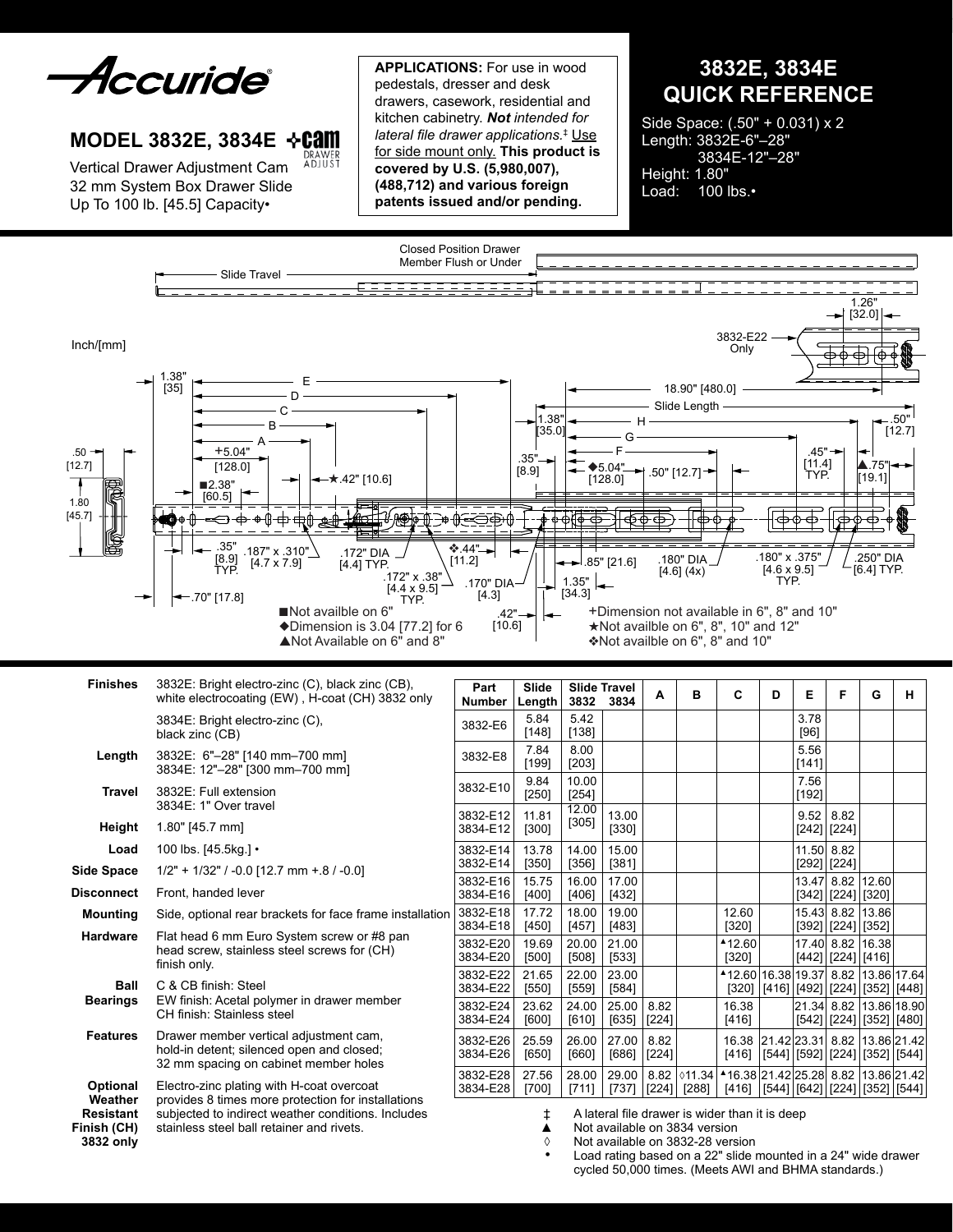*Accuride* 

# **MODEL 3832E, 3834E DRAWER**<br>ADJUST

Vertical Drawer Adjustment Cam 32 mm System Box Drawer Slide Up To 100 lb. [45.5] Capacity•

**Applications:** For use in wood pedestals, dresser and desk drawers, casework, residential and kitchen cabinetry. *Not intended for lateral file drawer applications.*‡ Use for side mount only. **This product is covered by U.S. (5,980,007), (488,712) and various foreign patents issued and/or pending.**

**3832E, 3834E QUICK REFERENCE**

Side Space: (.50" + 0.031) x 2 Length: 3832E-6"–28" 3834E-12"–28" Height: 1.80" Load: 100 lbs.•



| <b>Finishes</b>                              | 3832E: Bright electro-zinc (C), black zinc (CB),<br>white electrocoating (EW), H-coat (CH) 3832 only                                                                                               |                  |  |  |  |  |  |
|----------------------------------------------|----------------------------------------------------------------------------------------------------------------------------------------------------------------------------------------------------|------------------|--|--|--|--|--|
|                                              | 3834E: Bright electro-zinc (C),<br>black zinc (CB)                                                                                                                                                 | 3832-E           |  |  |  |  |  |
| Length                                       | 3832E: 6"-28" [140 mm-700 mm]<br>3834E: 12"-28" [300 mm-700 mm]                                                                                                                                    | 3832-E           |  |  |  |  |  |
| Travel                                       | 3832E: Full extension<br>3834E: 1" Over travel                                                                                                                                                     |                  |  |  |  |  |  |
| Height                                       | 1.80" [45.7 mm]                                                                                                                                                                                    | 3832-E<br>3834-E |  |  |  |  |  |
| Load                                         | 100 lbs. [45.5kg.] •                                                                                                                                                                               | 3832-E           |  |  |  |  |  |
| <b>Side Space</b>                            | $1/2" + 1/32" / -0.0$ [12.7 mm + 8 / -0.0]                                                                                                                                                         | 3832-E<br>3832-E |  |  |  |  |  |
| <b>Disconnect</b>                            | Front, handed lever                                                                                                                                                                                | 3834-E           |  |  |  |  |  |
| <b>Mounting</b>                              | Side, optional rear brackets for face frame installation                                                                                                                                           |                  |  |  |  |  |  |
| <b>Hardware</b>                              | Flat head 6 mm Euro System screw or #8 pan<br>head screw, stainless steel screws for (CH)<br>finish only.                                                                                          |                  |  |  |  |  |  |
| Ball                                         | C & CB finish: Steel                                                                                                                                                                               |                  |  |  |  |  |  |
| <b>Bearings</b>                              | EW finish: Acetal polymer in drawer member<br>CH finish: Stainless steel                                                                                                                           |                  |  |  |  |  |  |
| <b>Features</b>                              | Drawer member vertical adjustment cam,<br>hold-in detent; silenced open and closed;<br>32 mm spacing on cabinet member holes                                                                       | 3832-E<br>3834-E |  |  |  |  |  |
| <b>Optional</b><br>Weather                   | Electro-zinc plating with H-coat overcoat<br>provides 8 times more protection for installations<br>subjected to indirect weather conditions. Includes<br>stainless steel ball retainer and rivets. |                  |  |  |  |  |  |
| <b>Resistant</b><br>Finish (CH)<br>3832 only |                                                                                                                                                                                                    |                  |  |  |  |  |  |

| Part<br><b>Number</b> | Slide<br>Length  | <b>Slide Travel</b><br>3832 | 3834             | A               | в               | C                               | D                     | Е                     | F                        | G                                      | н           |
|-----------------------|------------------|-----------------------------|------------------|-----------------|-----------------|---------------------------------|-----------------------|-----------------------|--------------------------|----------------------------------------|-------------|
| 3832-E6               | 5.84<br>$[148]$  | 5.42<br>[138]               |                  |                 |                 |                                 |                       | 3.78<br>[96]          |                          |                                        |             |
| 3832-E8               | 7.84<br>[199]    | 8.00<br>$[203]$             |                  |                 |                 |                                 |                       | 5.56<br>[141]         |                          |                                        |             |
| 3832-E10              | 9.84<br>$[250]$  | 10.00<br>$[254]$            |                  |                 |                 |                                 |                       | 7.56<br>[192]         |                          |                                        |             |
| 3832-E12<br>3834-E12  | 11.81<br>$[300]$ | 12.00<br>$[305]$            | 13.00<br>[330]   |                 |                 |                                 |                       | 9.52<br>$[242]$       | 8.82<br>$[224]$          |                                        |             |
| 3832-E14<br>3832-E14  | 13.78<br>$[350]$ | 14.00<br>$[356]$            | 15.00<br>[381]   |                 |                 |                                 |                       | 11.50<br>[292]        | 8.82<br>$[224]$          |                                        |             |
| 3832-E16<br>3834-E16  | 15.75<br>[400]   | 16.00<br>$[406]$            | 17.00<br>$[432]$ |                 |                 |                                 |                       | 13.47                 | 8.82<br>$[342]$ [224]    | 12.60<br>$[320]$                       |             |
| 3832-E18<br>3834-E18  | 17.72<br>$[450]$ | 18.00<br>[457]              | 19.00<br>[483]   |                 |                 | 12.60<br>[320]                  |                       | 15.43 8.82            | $[392]\bigl [224]\bigr $ | 13.86<br>$[352]$                       |             |
| 3832-E20<br>3834-E20  | 19.69<br>$[500]$ | 20.00<br>$[508]$            | 21.00<br>[533]   |                 |                 | ▲12.60<br>$[320]$               |                       | 17.40                 | 8.82<br>[442]   [224]    | 16.38<br>[416]                         |             |
| 3832-E22<br>3834-E22  | 21.65<br>[550]   | 22.00<br>[559]              | 23.00<br>[584]   |                 |                 | ▲12.60   16.38   19.37<br>[320] | [416]                 |                       | 8.82                     | 13.86 17.64<br>[492] [224] [352] [448] |             |
| 3832-E24<br>3834-E24  | 23.62<br>[600]   | 24.00<br>$[610]$            | 25.00<br>$[635]$ | 8.82<br>$[224]$ |                 | 16.38<br>$[416]$                |                       | 21.34 8.82<br>$[542]$ | $[224]$                  | 13.86 18.90<br>[352]   [480]           |             |
| 3832-E26<br>3834-E26  | 25.59<br>[650]   | 26.00<br>[660]              | 27.00<br>[686]   | 8.82<br>$[224]$ |                 | 16.38<br>[416]                  | 21.42 23.31 <br>[544] | [592]                 | 8.82<br>[224]            | 13.86 21.42<br>$[352]$ [544]           |             |
| 3832-E28<br>3834-E28  | 27.56<br>[700]   | 28.00<br>[711]              | 29.00<br>$[737]$ | 8.82<br>$[224]$ | 011.34<br>[288] | ▲16.38 21.42 25.28<br>[416]     |                       |                       | 8.82                     | [544] [642] [224] [352] [544]          | 13.86 21.42 |

- ‡ A lateral file drawer is wider than it is deep
- ▲ Not available on 3834 version<br>◊ Not available on 3832-28 vers
- Not available on 3832-28 version
- Load rating based on a 22" slide mounted in a 24" wide drawer cycled 50,000 times. (Meets AWI and BHMA standards.)